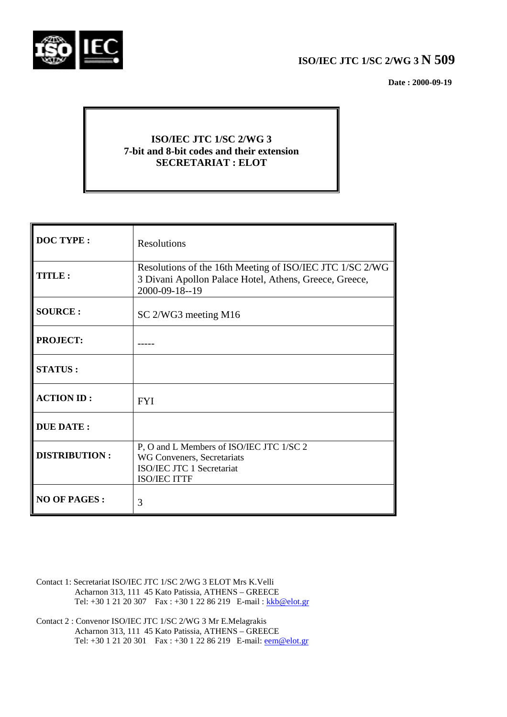

# **ISO/IEC JTC 1/SC 2/WG 3 N 509**

 **Date : 2000-09-19**

# **ISO/IEC JTC 1/SC 2/WG 3 7-bit and 8-bit codes and their extension SECRETARIAT : ELOT**

| <b>DOC TYPE:</b>     | <b>Resolutions</b>                                                                                                                   |
|----------------------|--------------------------------------------------------------------------------------------------------------------------------------|
| TITLE:               | Resolutions of the 16th Meeting of ISO/IEC JTC 1/SC 2/WG<br>3 Divani Apollon Palace Hotel, Athens, Greece, Greece,<br>2000-09-18--19 |
| <b>SOURCE:</b>       | SC 2/WG3 meeting M16                                                                                                                 |
| <b>PROJECT:</b>      |                                                                                                                                      |
| <b>STATUS:</b>       |                                                                                                                                      |
| <b>ACTION ID:</b>    | <b>FYI</b>                                                                                                                           |
| <b>DUE DATE:</b>     |                                                                                                                                      |
| <b>DISTRIBUTION:</b> | P, O and L Members of ISO/IEC JTC 1/SC 2<br>WG Conveners, Secretariats<br>ISO/IEC JTC 1 Secretariat<br><b>ISO/IEC ITTF</b>           |
| <b>NO OF PAGES:</b>  | 3                                                                                                                                    |

- Contact 1: Secretariat ISO/IEC JTC 1/SC 2/WG 3 ELOT Mrs K.Velli Acharnon 313, 111 45 Kato Patissia, ATHENS – GREECE Tel: +30 1 21 20 307 Fax : +30 1 22 86 219 E-mail : kkb@elot.gr
- Contact 2 : Convenor ISO/IEC JTC 1/SC 2/WG 3 Mr E.Melagrakis Acharnon 313, 111 45 Kato Patissia, ATHENS – GREECE Tel: +30 1 21 20 301 Fax : +30 1 22 86 219 E-mail: <u>eem@elot.gr</u>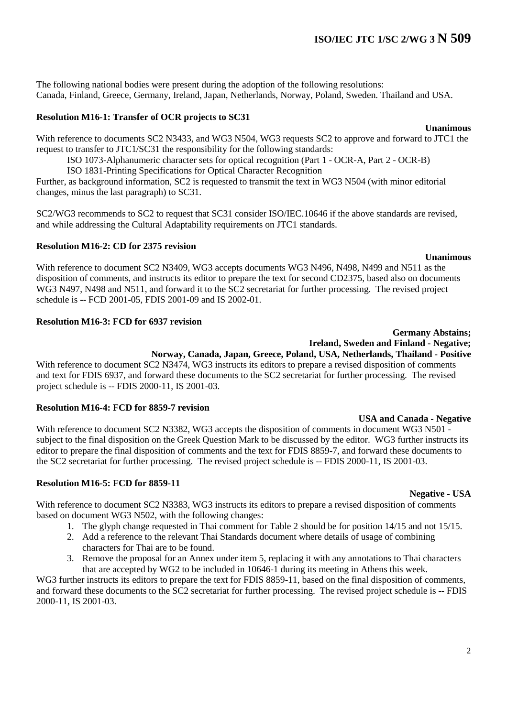The following national bodies were present during the adoption of the following resolutions: Canada, Finland, Greece, Germany, Ireland, Japan, Netherlands, Norway, Poland, Sweden. Thailand and USA.

## **Resolution M16-1: Transfer of OCR projects to SC31**

With reference to documents SC2 N3433, and WG3 N504, WG3 requests SC2 to approve and forward to JTC1 the request to transfer to JTC1/SC31 the responsibility for the following standards:

ISO 1073-Alphanumeric character sets for optical recognition (Part 1 - OCR-A, Part 2 - OCR-B)

ISO 1831-Printing Specifications for Optical Character Recognition

Further, as background information, SC2 is requested to transmit the text in WG3 N504 (with minor editorial changes, minus the last paragraph) to SC31.

SC2/WG3 recommends to SC2 to request that SC31 consider ISO/IEC.10646 if the above standards are revised, and while addressing the Cultural Adaptability requirements on JTC1 standards.

#### **Resolution M16-2: CD for 2375 revision**

#### **Unanimous**

With reference to document SC2 N3409, WG3 accepts documents WG3 N496, N498, N499 and N511 as the disposition of comments, and instructs its editor to prepare the text for second CD2375, based also on documents WG3 N497, N498 and N511, and forward it to the SC2 secretariat for further processing. The revised project schedule is -- FCD 2001-05, FDIS 2001-09 and IS 2002-01.

#### **Resolution M16-3: FCD for 6937 revision**

#### **Germany Abstains; Ireland, Sweden and Finland - Negative; Norway, Canada, Japan, Greece, Poland, USA, Netherlands, Thailand - Positive**

With reference to document SC2 N3474, WG3 instructs its editors to prepare a revised disposition of comments and text for FDIS 6937, and forward these documents to the SC2 secretariat for further processing. The revised project schedule is -- FDIS 2000-11, IS 2001-03.

#### **Resolution M16-4: FCD for 8859-7 revision**

**USA and Canada - Negative** With reference to document SC2 N3382, WG3 accepts the disposition of comments in document WG3 N501 subject to the final disposition on the Greek Question Mark to be discussed by the editor. WG3 further instructs its editor to prepare the final disposition of comments and the text for FDIS 8859-7, and forward these documents to the SC2 secretariat for further processing. The revised project schedule is -- FDIS 2000-11, IS 2001-03.

#### **Resolution M16-5: FCD for 8859-11**

With reference to document SC2 N3383, WG3 instructs its editors to prepare a revised disposition of comments based on document WG3 N502, with the following changes:

- 1. The glyph change requested in Thai comment for Table 2 should be for position 14/15 and not 15/15.
- 2. Add a reference to the relevant Thai Standards document where details of usage of combining characters for Thai are to be found.
- 3. Remove the proposal for an Annex under item 5, replacing it with any annotations to Thai characters that are accepted by WG2 to be included in 10646-1 during its meeting in Athens this week.

WG3 further instructs its editors to prepare the text for FDIS 8859-11, based on the final disposition of comments, and forward these documents to the SC2 secretariat for further processing. The revised project schedule is -- FDIS 2000-11, IS 2001-03.

# **Negative - USA**

# **Unanimous**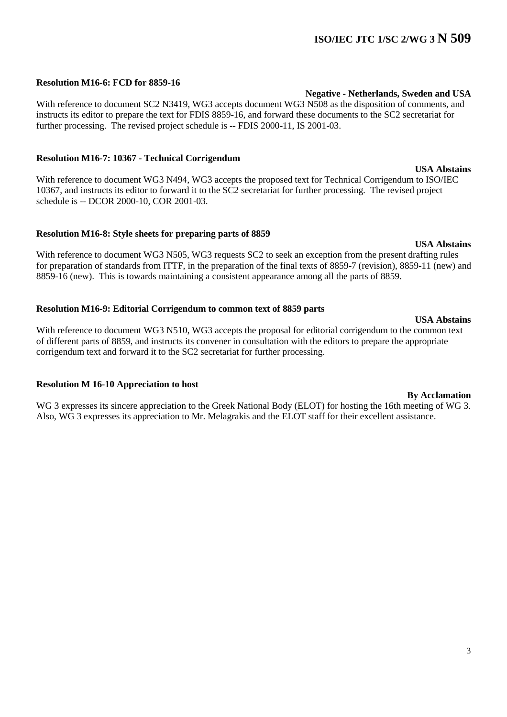# **ISO/IEC JTC 1/SC 2/WG 3 N 509**

## **Resolution M16-6: FCD for 8859-16**

With reference to document SC2 N3419, WG3 accepts document WG3 N508 as the disposition of comments, and instructs its editor to prepare the text for FDIS 8859-16, and forward these documents to the SC2 secretariat for further processing. The revised project schedule is -- FDIS 2000-11, IS 2001-03.

#### **Resolution M16-7: 10367 - Technical Corrigendum**

With reference to document WG3 N494, WG3 accepts the proposed text for Technical Corrigendum to ISO/IEC 10367, and instructs its editor to forward it to the SC2 secretariat for further processing. The revised project schedule is -- DCOR 2000-10, COR 2001-03.

#### **Resolution M16-8: Style sheets for preparing parts of 8859**

With reference to document WG3 N505, WG3 requests SC2 to seek an exception from the present drafting rules for preparation of standards from ITTF, in the preparation of the final texts of 8859-7 (revision), 8859-11 (new) and 8859-16 (new). This is towards maintaining a consistent appearance among all the parts of 8859.

#### **Resolution M16-9: Editorial Corrigendum to common text of 8859 parts**

**USA Abstains** With reference to document WG3 N510, WG3 accepts the proposal for editorial corrigendum to the common text of different parts of 8859, and instructs its convener in consultation with the editors to prepare the appropriate corrigendum text and forward it to the SC2 secretariat for further processing.

#### **Resolution M 16-10 Appreciation to host**

WG 3 expresses its sincere appreciation to the Greek National Body (ELOT) for hosting the 16th meeting of WG 3. Also, WG 3 expresses its appreciation to Mr. Melagrakis and the ELOT staff for their excellent assistance.

### **Negative - Netherlands, Sweden and USA**

# **USA Abstains**

## **By Acclamation**

# **USA Abstains**